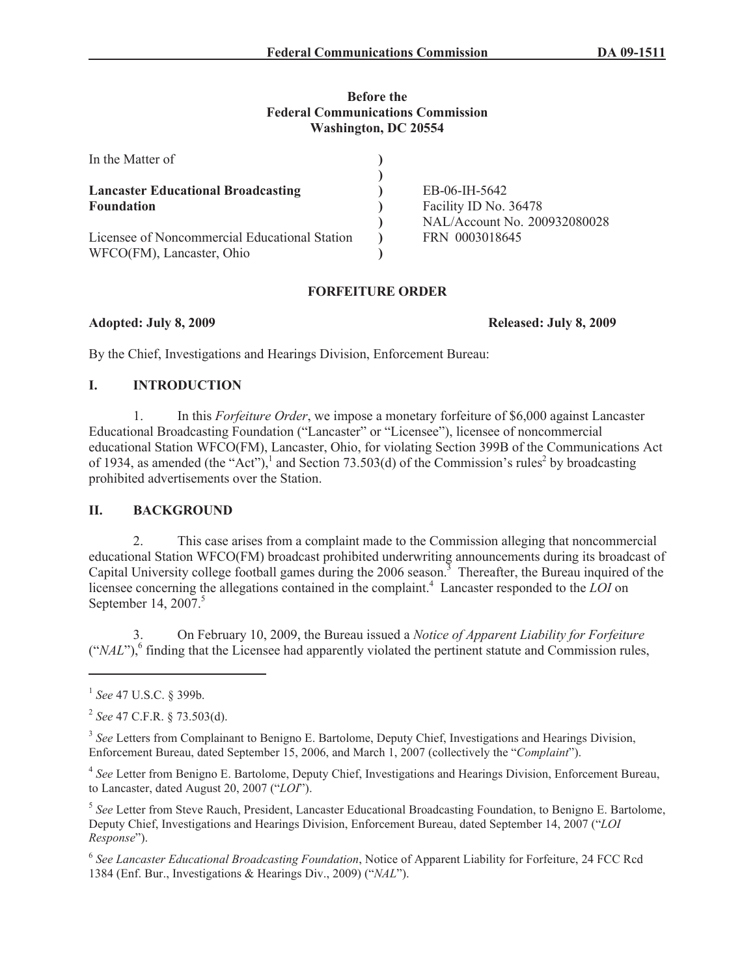#### **Before the Federal Communications Commission Washington, DC 20554**

| In the Matter of                                                           |                                                       |
|----------------------------------------------------------------------------|-------------------------------------------------------|
| <b>Lancaster Educational Broadcasting</b>                                  | EB-06-IH-5642                                         |
| <b>Foundation</b>                                                          | Facility ID No. 36478<br>NAL/Account No. 200932080028 |
| Licensee of Noncommercial Educational Station<br>WFCO(FM), Lancaster, Ohio | FRN 0003018645                                        |

### **FORFEITURE ORDER**

**Adopted: July 8, 2009 Released: July 8, 2009**

By the Chief, Investigations and Hearings Division, Enforcement Bureau:

### **I. INTRODUCTION**

1. In this *Forfeiture Order*, we impose a monetary forfeiture of \$6,000 against Lancaster Educational Broadcasting Foundation ("Lancaster" or "Licensee"), licensee of noncommercial educational Station WFCO(FM), Lancaster, Ohio, for violating Section 399B of the Communications Act of 1934, as amended (the "Act"),<sup>1</sup> and Section 73.503(d) of the Commission's rules<sup>2</sup> by broadcasting prohibited advertisements over the Station.

# **II. BACKGROUND**

2. This case arises from a complaint made to the Commission alleging that noncommercial educational Station WFCO(FM) broadcast prohibited underwriting announcements during its broadcast of Capital University college football games during the 2006 season.<sup>3</sup> Thereafter, the Bureau inquired of the licensee concerning the allegations contained in the complaint.<sup>4</sup> Lancaster responded to the *LOI* on September 14, 2007.<sup>5</sup>

3. On February 10, 2009, the Bureau issued a *Notice of Apparent Liability for Forfeiture* ("*NAL*"),<sup>6</sup> finding that the Licensee had apparently violated the pertinent statute and Commission rules,

<sup>3</sup> See Letters from Complainant to Benigno E. Bartolome, Deputy Chief, Investigations and Hearings Division, Enforcement Bureau, dated September 15, 2006, and March 1, 2007 (collectively the "*Complaint*").

4 *See* Letter from Benigno E. Bartolome, Deputy Chief, Investigations and Hearings Division, Enforcement Bureau, to Lancaster, dated August 20, 2007 ("*LOI*").

5 *See* Letter from Steve Rauch, President, Lancaster Educational Broadcasting Foundation, to Benigno E. Bartolome, Deputy Chief, Investigations and Hearings Division, Enforcement Bureau, dated September 14, 2007 ("*LOI Response*").

6 *See Lancaster Educational Broadcasting Foundation*, Notice of Apparent Liability for Forfeiture, 24 FCC Rcd 1384 (Enf. Bur., Investigations & Hearings Div., 2009) ("*NAL*").

<sup>1</sup> *See* 47 U.S.C. § 399b.

<sup>2</sup> *See* 47 C.F.R. § 73.503(d).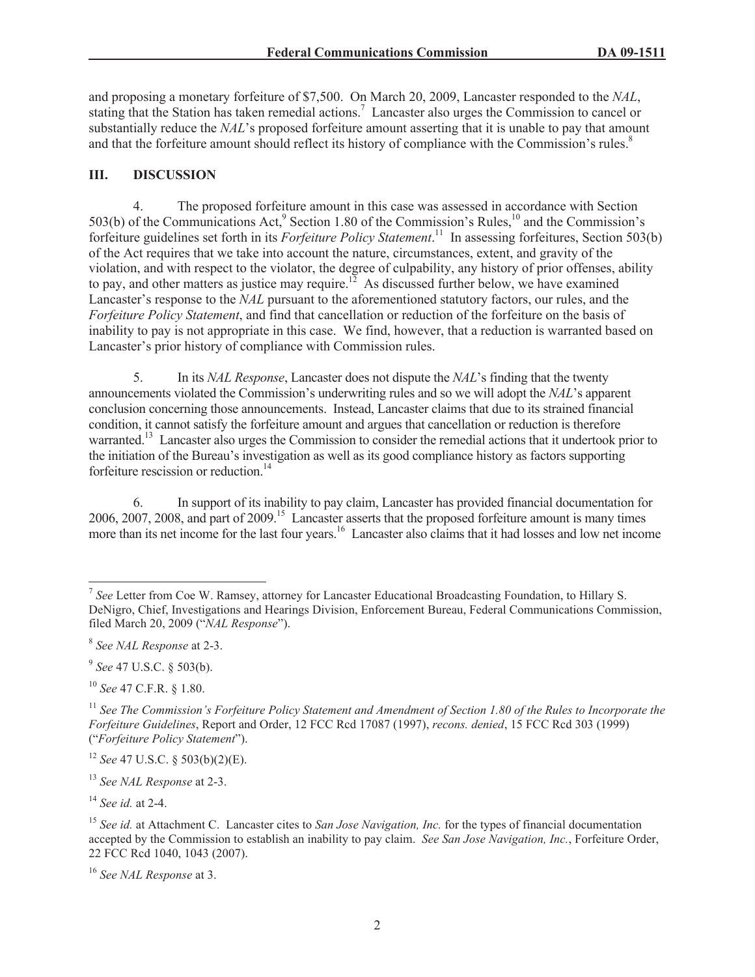and proposing a monetary forfeiture of \$7,500. On March 20, 2009, Lancaster responded to the *NAL*, stating that the Station has taken remedial actions.<sup>7</sup> Lancaster also urges the Commission to cancel or substantially reduce the *NAL*'s proposed forfeiture amount asserting that it is unable to pay that amount and that the forfeiture amount should reflect its history of compliance with the Commission's rules.<sup>8</sup>

#### **III. DISCUSSION**

4. The proposed forfeiture amount in this case was assessed in accordance with Section 503(b) of the Communications Act, Section 1.80 of the Commission's Rules,  $^{10}$  and the Commission's forfeiture guidelines set forth in its *Forfeiture Policy Statement*. <sup>11</sup> In assessing forfeitures, Section 503(b) of the Act requires that we take into account the nature, circumstances, extent, and gravity of the violation, and with respect to the violator, the degree of culpability, any history of prior offenses, ability to pay, and other matters as justice may require.<sup>12</sup> As discussed further below, we have examined Lancaster's response to the *NAL* pursuant to the aforementioned statutory factors, our rules, and the *Forfeiture Policy Statement*, and find that cancellation or reduction of the forfeiture on the basis of inability to pay is not appropriate in this case. We find, however, that a reduction is warranted based on Lancaster's prior history of compliance with Commission rules.

5. In its *NAL Response*, Lancaster does not dispute the *NAL*'s finding that the twenty announcements violated the Commission's underwriting rules and so we will adopt the *NAL*'s apparent conclusion concerning those announcements. Instead, Lancaster claims that due to its strained financial condition, it cannot satisfy the forfeiture amount and argues that cancellation or reduction is therefore warranted.<sup>13</sup> Lancaster also urges the Commission to consider the remedial actions that it undertook prior to the initiation of the Bureau's investigation as well as its good compliance history as factors supporting forfeiture rescission or reduction.<sup>14</sup>

6. In support of its inability to pay claim, Lancaster has provided financial documentation for 2006, 2007, 2008, and part of 2009.<sup>15</sup> Lancaster asserts that the proposed forfeiture amount is many times more than its net income for the last four years.<sup>16</sup> Lancaster also claims that it had losses and low net income

9 *See* 47 U.S.C. § 503(b).

<sup>10</sup> *See* 47 C.F.R. § 1.80.

<sup>14</sup> *See id.* at 2-4.

<sup>7</sup> *See* Letter from Coe W. Ramsey, attorney for Lancaster Educational Broadcasting Foundation, to Hillary S. DeNigro, Chief, Investigations and Hearings Division, Enforcement Bureau, Federal Communications Commission, filed March 20, 2009 ("*NAL Response*").

<sup>8</sup> *See NAL Response* at 2-3.

<sup>&</sup>lt;sup>11</sup> See The Commission's Forfeiture Policy Statement and Amendment of Section 1.80 of the Rules to Incorporate the *Forfeiture Guidelines*, Report and Order, 12 FCC Rcd 17087 (1997), *recons. denied*, 15 FCC Rcd 303 (1999) ("*Forfeiture Policy Statement*").

<sup>12</sup> *See* 47 U.S.C. § 503(b)(2)(E).

<sup>13</sup> *See NAL Response* at 2-3.

<sup>15</sup> *See id.* at Attachment C. Lancaster cites to *San Jose Navigation, Inc.* for the types of financial documentation accepted by the Commission to establish an inability to pay claim. *See San Jose Navigation, Inc.*, Forfeiture Order, 22 FCC Rcd 1040, 1043 (2007).

<sup>16</sup> *See NAL Response* at 3.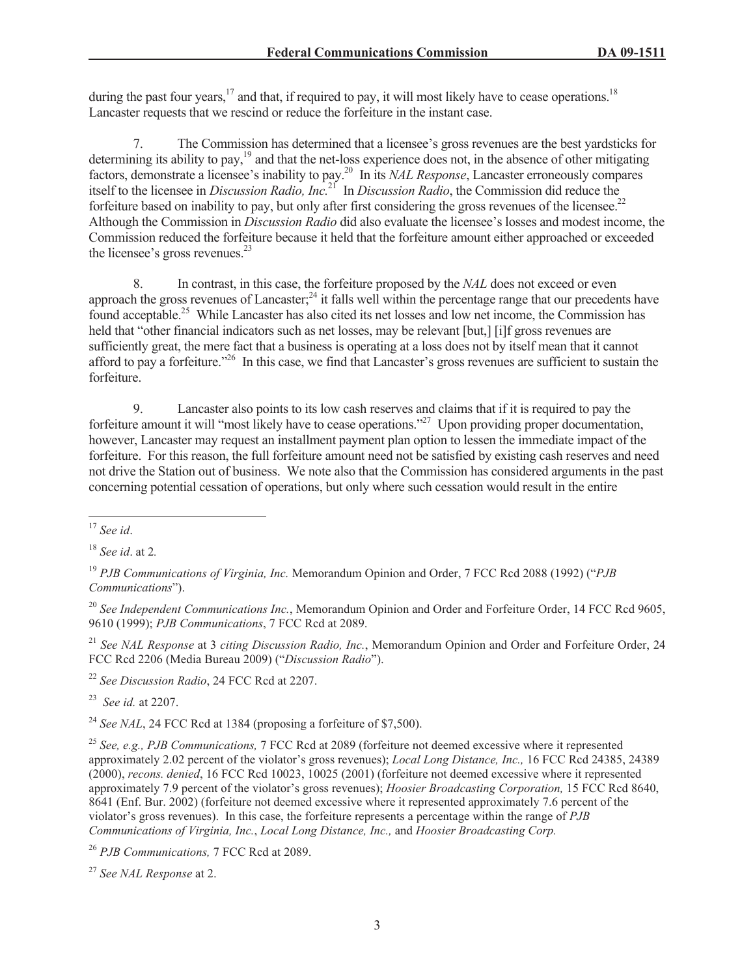during the past four years,<sup>17</sup> and that, if required to pay, it will most likely have to cease operations.<sup>18</sup> Lancaster requests that we rescind or reduce the forfeiture in the instant case.

7. The Commission has determined that a licensee's gross revenues are the best yardsticks for determining its ability to pay,<sup>19</sup> and that the net-loss experience does not, in the absence of other mitigating factors, demonstrate a licensee's inability to pay.<sup>20</sup> In its *NAL Response*, Lancaster erroneously compares itself to the licensee in *Discussion Radio, Inc.*<sup>21</sup> In *Discussion Radio*, the Commission did reduce the forfeiture based on inability to pay, but only after first considering the gross revenues of the licensee.<sup>22</sup> Although the Commission in *Discussion Radio* did also evaluate the licensee's losses and modest income, the Commission reduced the forfeiture because it held that the forfeiture amount either approached or exceeded the licensee's gross revenues.<sup>23</sup>

8. In contrast, in this case, the forfeiture proposed by the *NAL* does not exceed or even approach the gross revenues of Lancaster;<sup>24</sup> it falls well within the percentage range that our precedents have found acceptable.<sup>25</sup> While Lancaster has also cited its net losses and low net income, the Commission has held that "other financial indicators such as net losses, may be relevant [but,] [i]f gross revenues are sufficiently great, the mere fact that a business is operating at a loss does not by itself mean that it cannot afford to pay a forfeiture."<sup>26</sup> In this case, we find that Lancaster's gross revenues are sufficient to sustain the forfeiture.

9. Lancaster also points to its low cash reserves and claims that if it is required to pay the forfeiture amount it will "most likely have to cease operations."<sup>27</sup> Upon providing proper documentation, however, Lancaster may request an installment payment plan option to lessen the immediate impact of the forfeiture. For this reason, the full forfeiture amount need not be satisfied by existing cash reserves and need not drive the Station out of business. We note also that the Commission has considered arguments in the past concerning potential cessation of operations, but only where such cessation would result in the entire

<sup>21</sup> *See NAL Response* at 3 *citing Discussion Radio, Inc.*, Memorandum Opinion and Order and Forfeiture Order, 24 FCC Rcd 2206 (Media Bureau 2009) ("*Discussion Radio*").

<sup>22</sup> *See Discussion Radio*, 24 FCC Rcd at 2207.

<sup>23</sup> *See id.* at 2207.

<sup>24</sup> *See NAL*, 24 FCC Rcd at 1384 (proposing a forfeiture of \$7,500).

<sup>25</sup> *See, e.g., PJB Communications,* 7 FCC Rcd at 2089 (forfeiture not deemed excessive where it represented approximately 2.02 percent of the violator's gross revenues); *Local Long Distance, Inc.,* 16 FCC Rcd 24385, 24389 (2000), *recons. denied*, 16 FCC Rcd 10023, 10025 (2001) (forfeiture not deemed excessive where it represented approximately 7.9 percent of the violator's gross revenues); *Hoosier Broadcasting Corporation,* 15 FCC Rcd 8640, 8641 (Enf. Bur. 2002) (forfeiture not deemed excessive where it represented approximately 7.6 percent of the violator's gross revenues). In this case, the forfeiture represents a percentage within the range of *PJB Communications of Virginia, Inc.*, *Local Long Distance, Inc.,* and *Hoosier Broadcasting Corp.*

<sup>26</sup> *PJB Communications,* 7 FCC Rcd at 2089.

<sup>27</sup> *See NAL Response* at 2.

<sup>17</sup> *See id*.

<sup>18</sup> *See id*. at 2*.*

<sup>19</sup> *PJB Communications of Virginia, Inc.* Memorandum Opinion and Order, 7 FCC Rcd 2088 (1992) ("*PJB Communications*").

<sup>20</sup> *See Independent Communications Inc.*, Memorandum Opinion and Order and Forfeiture Order, 14 FCC Rcd 9605, 9610 (1999); *PJB Communications*, 7 FCC Rcd at 2089.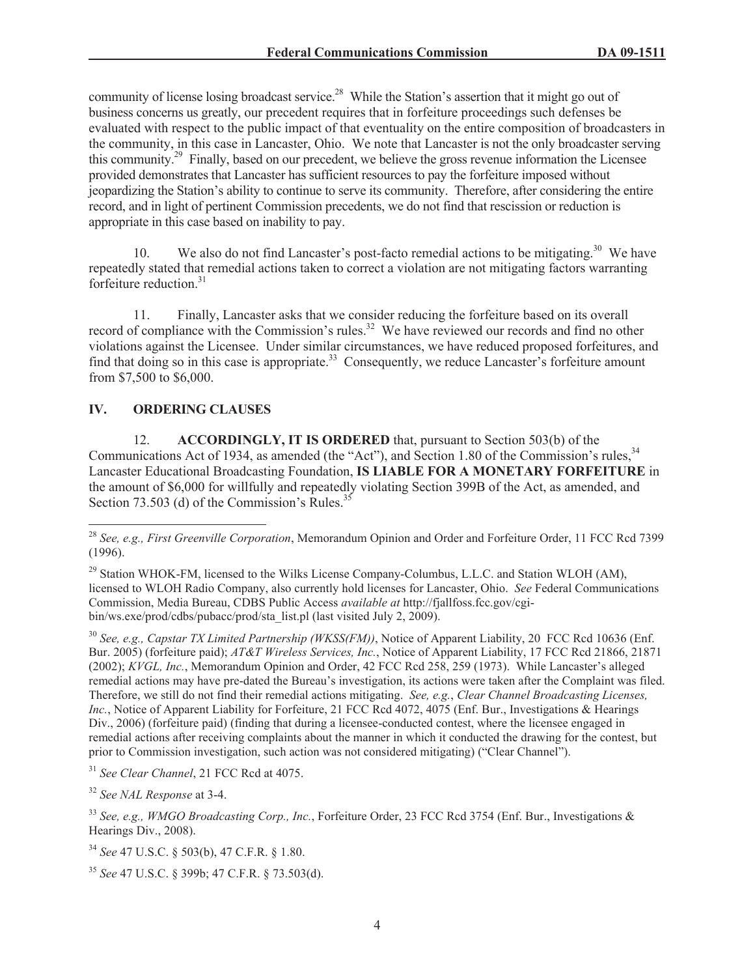community of license losing broadcast service.<sup>28</sup> While the Station's assertion that it might go out of business concerns us greatly, our precedent requires that in forfeiture proceedings such defenses be evaluated with respect to the public impact of that eventuality on the entire composition of broadcasters in the community, in this case in Lancaster, Ohio. We note that Lancaster is not the only broadcaster serving this community.<sup>29</sup> Finally, based on our precedent, we believe the gross revenue information the Licensee provided demonstrates that Lancaster has sufficient resources to pay the forfeiture imposed without jeopardizing the Station's ability to continue to serve its community. Therefore, after considering the entire record, and in light of pertinent Commission precedents, we do not find that rescission or reduction is appropriate in this case based on inability to pay.

10. We also do not find Lancaster's post-facto remedial actions to be mitigating.<sup>30</sup> We have repeatedly stated that remedial actions taken to correct a violation are not mitigating factors warranting forfeiture reduction. $31$ 

11. Finally, Lancaster asks that we consider reducing the forfeiture based on its overall record of compliance with the Commission's rules.<sup>32</sup> We have reviewed our records and find no other violations against the Licensee. Under similar circumstances, we have reduced proposed forfeitures, and find that doing so in this case is appropriate.<sup>33</sup> Consequently, we reduce Lancaster's forfeiture amount from \$7,500 to \$6,000.

# **IV. ORDERING CLAUSES**

12. **ACCORDINGLY, IT IS ORDERED** that, pursuant to Section 503(b) of the Communications Act of 1934, as amended (the "Act"), and Section 1.80 of the Commission's rules, <sup>34</sup> Lancaster Educational Broadcasting Foundation, **IS LIABLE FOR A MONETARY FORFEITURE** in the amount of \$6,000 for willfully and repeatedly violating Section 399B of the Act, as amended, and Section 73.503 (d) of the Commission's Rules.<sup>35</sup>

<sup>30</sup> *See, e.g., Capstar TX Limited Partnership (WKSS(FM))*, Notice of Apparent Liability, 20 FCC Rcd 10636 (Enf. Bur. 2005) (forfeiture paid); *AT&T Wireless Services, Inc.*, Notice of Apparent Liability, 17 FCC Rcd 21866, 21871 (2002); *KVGL, Inc.*, Memorandum Opinion and Order, 42 FCC Rcd 258, 259 (1973). While Lancaster's alleged remedial actions may have pre-dated the Bureau's investigation, its actions were taken after the Complaint was filed. Therefore, we still do not find their remedial actions mitigating. *See, e.g.*, *Clear Channel Broadcasting Licenses, Inc.*, Notice of Apparent Liability for Forfeiture, 21 FCC Rcd 4072, 4075 (Enf. Bur., Investigations & Hearings Div., 2006) (forfeiture paid) (finding that during a licensee-conducted contest, where the licensee engaged in remedial actions after receiving complaints about the manner in which it conducted the drawing for the contest, but prior to Commission investigation, such action was not considered mitigating) ("Clear Channel").

<sup>31</sup> *See Clear Channel*, 21 FCC Rcd at 4075.

<sup>32</sup> *See NAL Response* at 3-4.

<sup>33</sup> *See, e.g., WMGO Broadcasting Corp., Inc.*, Forfeiture Order, 23 FCC Rcd 3754 (Enf. Bur., Investigations & Hearings Div., 2008).

<sup>34</sup> *See* 47 U.S.C. § 503(b), 47 C.F.R. § 1.80.

<sup>35</sup> *See* 47 U.S.C. § 399b; 47 C.F.R. § 73.503(d).

<sup>28</sup> *See, e.g., First Greenville Corporation*, Memorandum Opinion and Order and Forfeiture Order, 11 FCC Rcd 7399 (1996).

 $^{29}$  Station WHOK-FM, licensed to the Wilks License Company-Columbus, L.L.C. and Station WLOH (AM), licensed to WLOH Radio Company, also currently hold licenses for Lancaster, Ohio. *See* Federal Communications Commission, Media Bureau, CDBS Public Access *available at* http://fjallfoss.fcc.gov/cgibin/ws.exe/prod/cdbs/pubacc/prod/sta\_list.pl (last visited July 2, 2009).